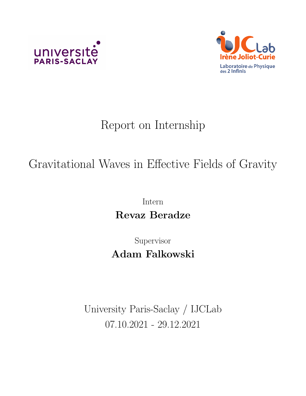



## Report on Internship

## Gravitational Waves in Effective Fields of Gravity

Intern Revaz Beradze

Supervisor Adam Falkowski

University Paris-Saclay / IJCLab 07.10.2021 - 29.12.2021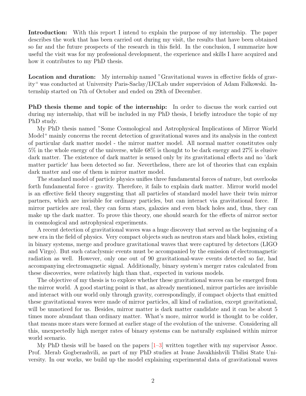Introduction: With this report I intend to explain the purpose of my internship. The paper describes the work that has been carried out during my visit, the results that have been obtained so far and the future prospects of the research in this field. In the conclusion, I summarize how useful the visit was for my professional development, the experience and skills I have acquired and how it contributes to my PhD thesis.

Location and duration: My internship named "Gravitational waves in effective fields of gravity" was conducted at University Paris-Saclay/IJCLab under supervision of Adam Falkowski. Internship started on 7th of October and ended on 29th of December.

PhD thesis theme and topic of the internship: In order to discuss the work carried out during my internship, that will be included in my PhD thesis, I briefly introduce the topic of my PhD study.

My PhD thesis named "Some Cosmological and Astrophysical Implications of Mirror World Model" mainly concerns the recent detection of gravitational waves and its analysis in the context of particular dark matter model - the mirror matter model. All normal matter constitutes only 5% in the whole energy of the universe, while 68% is thought to be dark energy and 27% is elusive dark matter. The existence of dark matter is sensed only by its gravitational effects and no 'dark matter particle' has been detected so far. Nevertheless, there are lot of theories that can explain dark matter and one of them is mirror matter model.

The standard model of particle physics unifies three fundamental forces of nature, but overlooks forth fundamental force - gravity. Therefore, it fails to explain dark matter. Mirror world model is an effective field theory suggesting that all particles of standard model have their twin mirror partners, which are invisible for ordinary particles, but can interact via gravitational force. If mirror particles are real, they can form stars, galaxies and even black holes and, thus, they can make up the dark matter. To prove this theory, one should search for the effects of mirror sector in cosmological and astrophysical experiments.

A recent detection of gravitational waves was a huge discovery that served as the beginning of a new era in the field of physics. Very compact objects such as neutron stars and black holes, existing in binary systems, merge and produce gravitational waves that were captured by detectors (LIGO and Virgo). But such cataclysmic events must be accompanied by the emission of electromagnetic radiation as well. However, only one out of 90 gravitational-wave events detected so far, had accompanying electromagnetic signal. Additionally, binary system's merger rates calculated from these discoveries, were relatively high than that, expected in various models.

The objective of my thesis is to explore whether these gravitational waves can be emerged from the mirror world. A good starting point is that, as already mentioned, mirror particles are invisible and interact with our world only through gravity, correspondingly, if compact objects that emitted these gravitational waves were made of mirror particles, all kind of radiation, except gravitational, will be unnoticed for us. Besides, mirror matter is dark matter candidate and it can be about 5 times more abundant than ordinary matter. What's more, mirror world is thought to be colder, that means more stars were formed at earlier stage of the evolution of the universe. Considering all this, unexpectedly high merger rates of binary systems can be naturally explained within mirror world scenario.

My PhD thesis will be based on the papers [\[1–](#page-7-0)[3\]](#page-7-1) written together with my supervisor Assoc. Prof. Merab Gogberashvili, as part of my PhD studies at Ivane Javakhishvili Tbilisi State University. In our works, we build up the model explaining experimental data of gravitational waves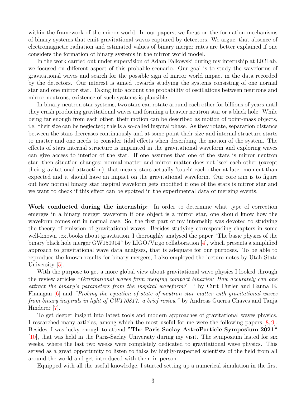within the framework of the mirror world. In our papers, we focus on the formation mechanisms of binary systems that emit gravitational waves captured by detectors. We argue, that absence of electromagnetic radiation and estimated values of binary merger rates are better explained if one considers the formation of binary systems in the mirror world model.

In the work carried out under supervision of Adam Falkowski during my internship at IJCLab, we focused on different aspect of this probable scenario. Our goal is to study the waveforms of gravitational waves and search for the possible sign of mirror world impact in the data recorded by the detectors. Our interest is aimed towards studying the systems consisting of one normal star and one mirror star. Taking into account the probability of oscillations between neutrons and mirror neutrons, existence of such systems is plausible.

In binary neutron star systems, two stars can rotate around each other for billions of years until they crash producing gravitational waves and forming a heavier neutron star or a black hole. While being far enough from each other, their motion can be described as motion of point-mass objects, i.e. their size can be neglected; this is a so-called inspiral phase. As they rotate, separation distance between the stars decreases continuously and at some point their size and internal structure starts to matter and one needs to consider tidal effects when describing the motion of the system. The effects of stars internal structure is imprinted in the gravitational waveform and exploring waves can give access to interior of the star. If one assumes that one of the stars is mirror neutron star, then situation changes: normal matter and mirror matter does not 'see' each other (except their gravitational attraction), that means, stars actually 'touch' each other at later moment than expected and it should have an impact on the gravitational waveform. Our core aim is to figure out how normal binary star inspiral waveform gets modified if one of the stars is mirror star and we want to check if this effect can be spotted in the experimental data of merging events.

Work conducted during the internship: In order to determine what type of correction emerges in a binary merger waveform if one object is a mirror star, one should know how the waveform comes out in normal case. So, the first part of my internship was devoted to studying the theory of emission of gravitational waves. Besides studying corresponding chapters in some well-known textbooks about gravitation, I thoroughly analysed the paper "The basic physics of the binary black hole merger GW150914" by LIGO/Virgo collaboration [\[4\]](#page-7-2), which presents a simplified approach to gravitational wave data analyses, that is adequate for our purposes. To be able to reproduce the known results for binary mergers, I also employed the lecture notes by Utah State University [\[5\]](#page-7-3).

With the purpose to get a more global view about gravitational wave physics I looked through the review articles "Gravitational waves from merging compact binaries: How accurately can one extract the binary's parameters from the inspiral waveform? " by Curt Cutler and Eanna E. Flanagan [\[6\]](#page-7-4) and "Probing the equation of state of neutron star matter with gravitational waves from binary inspirals in light of GW170817: a brief review" by Andreas Guerra Chaves and Tanja Hinderer [\[7\]](#page-7-5).

To get deeper insight into latest tools and modern approaches of gravitational waves physics, I researched many articles, among which the most useful for me were the following papers [\[8,](#page-7-6) [9\]](#page-7-7). Besides, I was lucky enough to attend "The Paris Saclay AstroParticle Symposium 2021" [\[10\]](#page-7-8), that was held in the Paris-Saclay University during my visit. The symposium lasted for six weeks, where the last two weeks were completely dedicated to gravitational wave physics. This served as a great opportunity to listen to talks by highly-respected scientists of the field from all around the world and get introduced with them in person.

Equipped with all the useful knowledge, I started setting up a numerical simulation in the first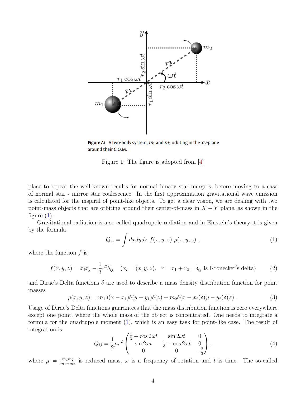<span id="page-3-0"></span>

Figure A1 A two-body system,  $m_1$  and  $m_2$  orbiting in the xy-plane around their C.O.M.

Figure 1: The figure is adopted from [\[4\]](#page-7-2)

place to repeat the well-known results for normal binary star mergers, before moving to a case of normal star - mirror star coalescence. In the first approximation gravitational wave emission is calculated for the inspiral of point-like objects. To get a clear vision, we are dealing with two point-mass objects that are orbiting around their center-of-mass in  $X - Y$  plane, as shown in the figure  $(1)$ .

Gravitational radiation is a so-called quadrupole radiation and in Einstein's theory it is given by the formula

<span id="page-3-1"></span>
$$
Q_{ij} = \int dx dy dz f(x, y, z) \rho(x, y, z) , \qquad (1)
$$

where the function  $f$  is

$$
f(x, y, z) = x_i x_j - \frac{1}{3} r^2 \delta_{ij} \quad (x_i = (x, y, z), \quad r = r_1 + r_2, \quad \delta_{ij} \text{ is Kronecker's delta}) \tag{2}
$$

and Dirac's Delta functions  $\delta$  are used to describe a mass density distribution function for point masses

<span id="page-3-2"></span>
$$
\rho(x, y, z) = m_1 \delta(x - x_1) \delta(y - y_1) \delta(z) + m_2 \delta(x - x_2) \delta(y - y_2) \delta(z) . \tag{3}
$$

Usage of Dirac's Delta functions guarantees that the mass distribution function is zero everywhere except one point, where the whole mass of the object is concentrated. One needs to integrate a formula for the quadrupole moment [\(1\)](#page-3-1), which is an easy task for point-like case. The result of integration is:

$$
Q_{ij} = \frac{1}{2}\mu r^2 \begin{pmatrix} \frac{1}{3} + \cos 2\omega t & \sin 2\omega t & 0\\ \sin 2\omega t & \frac{1}{3} - \cos 2\omega t & 0\\ 0 & 0 & -\frac{2}{3} \end{pmatrix},
$$
(4)

where  $\mu = \frac{m_1 m_2}{m_1 + m_2}$  $\frac{m_1m_2}{m_1+m_2}$  is reduced mass,  $\omega$  is a frequency of rotation and t is time. The so-called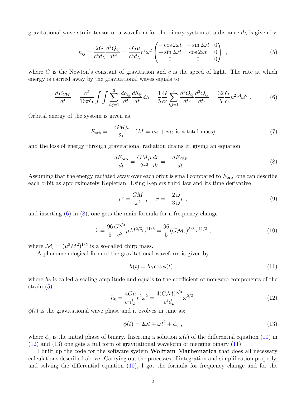gravitational wave strain tensor or a waveform for the binary system at a distance  $d<sub>L</sub>$  is given by

<span id="page-4-2"></span>
$$
h_{ij} = \frac{2G}{c^4 d_L} \frac{d^2 Q_{ij}}{dt^2} = \frac{4G\mu}{c^4 d_L} r^2 \omega^2 \begin{pmatrix} -\cos 2\omega t & -\sin 2\omega t & 0\\ -\sin 2\omega t & \cos 2\omega t & 0\\ 0 & 0 & 0 \end{pmatrix} , \qquad (5)
$$

where G is the Newton's constant of gravitation and c is the speed of light. The rate at which energy is carried away by the gravitational waves equals to

<span id="page-4-0"></span>
$$
\frac{dE_{GW}}{dt} = \frac{c^3}{16\pi G} \int \int \sum_{i,j=1}^3 \frac{dh_{ij}}{dt} \frac{dh_{ij}}{dt} dS = \frac{1}{5} \frac{G}{c^5} \sum_{i,j=1}^3 \frac{d^3 Q_{ij}}{dt^3} \frac{d^3 Q_{ij}}{dt^3} = \frac{32}{5} \frac{G}{c^5} \mu^2 r^4 \omega^6 \ . \tag{6}
$$

Orbital energy of the system is given as

$$
E_{\rm orb} = -\frac{GM\mu}{2r} \quad (M = m_1 + m_2 \text{ is a total mass}) \tag{7}
$$

and the loss of energy through gravitational radiation drains it, giving an equation

<span id="page-4-1"></span>
$$
\frac{dE_{\rm orb}}{dt} = \frac{GM\mu}{2r^2}\frac{dr}{dt} = -\frac{dE_{GW}}{dt} \ . \tag{8}
$$

Assuming that the energy radiated away over each orbit is small compared to  $E_{\rm orb}$ , one can describe each orbit as approximately Keplerian. Using Keplers third law and its time derivative

$$
r^3 = \frac{GM}{\omega^2} \ , \quad \dot{r} = -\frac{2}{3} \frac{\dot{\omega}}{\omega} r \ , \tag{9}
$$

and inserting  $(6)$  in  $(8)$ , one gets the main formula for a frequency change

<span id="page-4-3"></span>
$$
\dot{\omega} = \frac{96}{5} \frac{G^{5/3}}{c^5} \mu M^{2/3} \omega^{11/3} = \frac{96}{5} (G \mathcal{M}_c)^{5/3} \omega^{11/3} , \qquad (10)
$$

where  $\mathcal{M}_c = (\mu^3 M^2)^{1/5}$  is a so-called chirp mass.

A phenomenological form of the gravitational waveform is given by

<span id="page-4-6"></span>
$$
h(t) = h_0 \cos \phi(t) \tag{11}
$$

where  $h_0$  is called a scaling amplitude and equals to the coefficient of non-zero components of the strain [\(5\)](#page-4-2)

<span id="page-4-4"></span>
$$
h_0 = \frac{4G\mu}{c^4 d_L} r^2 \omega^2 = \frac{4(G\mathcal{M})^{5/3}}{c^4 d_L} \omega^{2/3}.
$$
\n(12)

 $\phi(t)$  is the gravitational wave phase and it evolves in time as:

<span id="page-4-5"></span>
$$
\phi(t) = 2\omega t + \dot{\omega}t^2 + \phi_0 , \qquad (13)
$$

where  $\phi_0$  is the initial phase of binary. Inserting a solution  $\omega(t)$  of the differential equation [\(10\)](#page-4-3) in [\(12\)](#page-4-4) and [\(13\)](#page-4-5) one gets a full form of gravitational waveform of merging binary [\(11\)](#page-4-6).

I built up the code for the software system **Wolfram Mathematica** that does all necessary calculations described above. Carrying out the processes of integration and simplification properly, and solving the differential equation  $(10)$ , I got the formula for frequency change and for the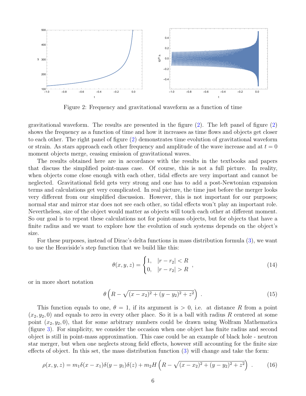<span id="page-5-0"></span>

Figure 2: Frequency and gravitational waveform as a function of time

gravitational waveform. The results are presented in the figure [\(2\)](#page-5-0). The left panel of figure [\(2\)](#page-5-0) shows the frequency as a function of time and how it increases as time flows and objects get closer to each other. The right panel of figure [\(2\)](#page-5-0) demonstrates time evolution of gravitational waveform or strain. As stars approach each other frequency and amplitude of the wave increase and at  $t = 0$ moment objects merge, ceasing emission of gravitational waves.

The results obtained here are in accordance with the results in the textbooks and papers that discuss the simplified point-mass case. Of course, this is not a full picture. In reality, when objects come close enough with each other, tidal effects are very important and cannot be neglected. Gravitational field gets very strong and one has to add a post-Newtonian expansion terms and calculations get very complicated. In real picture, the time just before the merger looks very different from our simplified discussion. However, this is not important for our purposes; normal star and mirror star does not see each other, so tidal effects won't play an important role. Nevertheless, size of the object would matter as objects will touch each other at different moment. So our goal is to repeat these calculations not for point-mass objects, but for objects that have a finite radius and we want to explore how the evolution of such systems depends on the object's size.

For these purposes, instead of Dirac's delta functions in mass distribution formula [\(3\)](#page-3-2), we want to use the Heaviside's step function that we build like this:

$$
\theta(x, y, z) = \begin{cases} 1, & |r - r_2| < R \\ 0, & |r - r_2| > R \end{cases} \tag{14}
$$

or in more short notation

<span id="page-5-1"></span>
$$
\theta \left( R - \sqrt{(x - x_2)^2 + (y - y_2)^2 + z^2} \right) \ . \tag{15}
$$

This function equals to one,  $\theta = 1$ , if its argument is  $> 0$ , i.e. at distance R from a point  $(x_2, y_2, 0)$  and equals to zero in every other place. So it is a ball with radius R centered at some point  $(x_2, y_2, 0)$ , that for some arbitrary numbers could be drawn using Wolfram Mathematica (figure [3\)](#page-6-0). For simplicity, we consider the occasion when one object has finite radius and second object is still in point-mass approximation. This case could be an example of black hole - neutron star merger, but when one neglects strong field effects, however still accounting for the finite size effects of object. In this set, the mass distribution function [\(3\)](#page-3-2) will change and take the form:

<span id="page-5-2"></span>
$$
\rho(x, y, z) = m_1 \delta(x - x_1) \delta(y - y_1) \delta(z) + m_2 H\left(R - \sqrt{(x - x_2)^2 + (y - y_2)^2 + z^2}\right) \ . \tag{16}
$$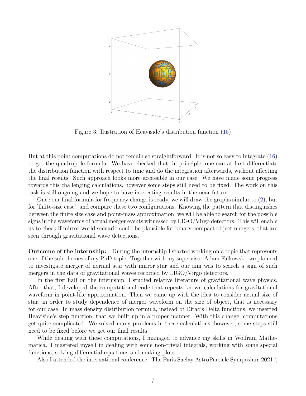<span id="page-6-0"></span>

Figure 3: Ilustration of Heaviside's distribution function [\(15\)](#page-5-1)

But at this point computations do not remain so straightforward. It is not so easy to integrate [\(16\)](#page-5-2) to get the quadrupole formula. We have checked that, in principle, one can at first differentiate the distribution function with respect to time and do the integration afterwards, without affecting the final results. Such approach looks more accessible in our case. We have made some progress towards this challenging calculations, however some steps still need to be fixed. The work on this task is still ongoing and we hope to have interesting results in the near future.

Once our final formula for frequency change is ready, we will draw the graphs similar to [\(2\)](#page-5-0), but for 'finite-size case', and compare these two configurations. Knowing the pattern that distinguishes between the finite size case and point-mass approximation, we will be able to search for the possible signs in the waveforms of actual merger events witnessed by LIGO/Virgo detectors. This will enable us to check if mirror world scenario could be plausible for binary compact object mergers, that are seen through gravitational wave detections.

Outcome of the internship: During the internship I started working on a topic that represents one of the sub-themes of my PhD topic. Together with my supervisor Adam Falkowski, we planned to investigate merger of normal star with mirror star and our aim was to search a sign of such mergers in the data of gravitational waves recorded by LIGO/Virgo detectors.

In the first half on the internship, I studied relative literature of gravitational wave physics. After that, I developed the computational code that repeats known calculations for gravitational waveform in point-like approximation. Then we came up with the idea to consider actual size of star, in order to study dependence of merger waveform on the size of object, that is necessary for our case. In mass density distribution formula, instead of Dirac's Delta functions, we inserted Heaviside's step function, that we built up in a proper manner. With this change, computations get quite complicated. We solved many problems in these calculations, however, some steps still need to be fixed before we get our final results.

While dealing with these computations, I managed to advance my skills in Wolfram Mathematica. I mastered myself in dealing with some non-trivial integrals, working with some special functions, solving differential equations and making plots.

Also I attended the international conference "The Paris Saclay AstroParticle Symposium 2021",